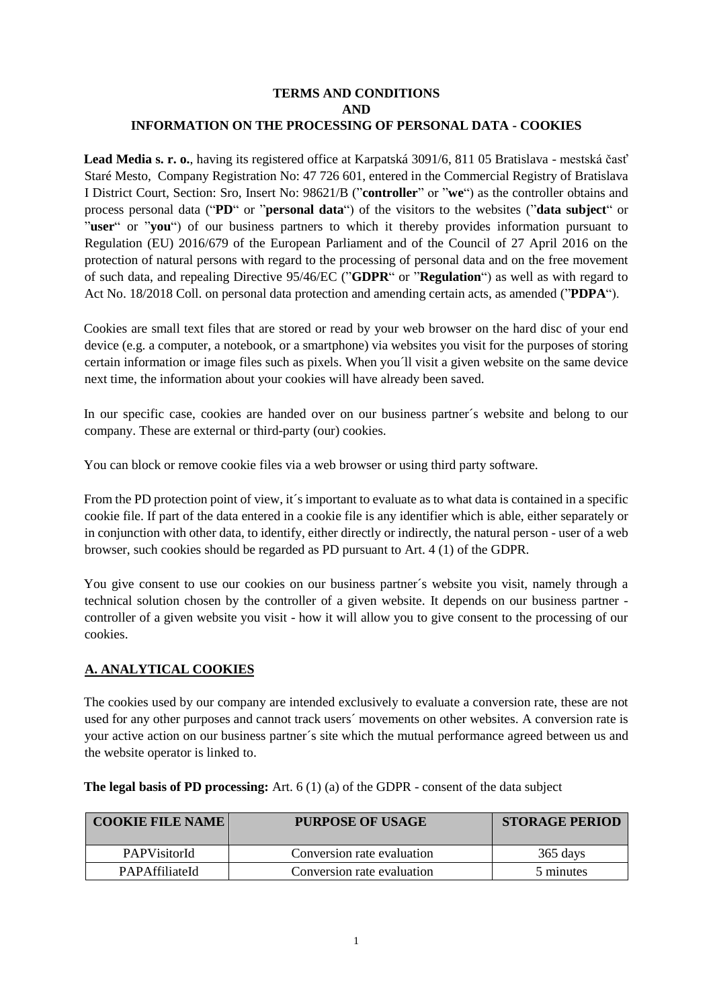#### **TERMS AND CONDITIONS AND INFORMATION ON THE PROCESSING OF PERSONAL DATA - COOKIES**

**Lead Media s. r. o.**, having its registered office at Karpatská 3091/6, 811 05 Bratislava - mestská časť Staré Mesto, Company Registration No: 47 726 601, entered in the Commercial Registry of Bratislava I District Court, Section: Sro, Insert No: 98621/B ("**controller**" or "**we**") as the controller obtains and process personal data ("**PD**" or "**personal data**") of the visitors to the websites ("**data subject**" or "**user**" or "you") of our business partners to which it thereby provides information pursuant to Regulation (EU) 2016/679 of the European Parliament and of the Council of 27 April 2016 on the protection of natural persons with regard to the processing of personal data and on the free movement of such data, and repealing Directive 95/46/EC ("**GDPR**" or "**Regulation**") as well as with regard to Act No. 18/2018 Coll. on personal data protection and amending certain acts, as amended ("**PDPA**").

Cookies are small text files that are stored or read by your web browser on the hard disc of your end device (e.g. a computer, a notebook, or a smartphone) via websites you visit for the purposes of storing certain information or image files such as pixels. When you´ll visit a given website on the same device next time, the information about your cookies will have already been saved.

In our specific case, cookies are handed over on our business partner´s website and belong to our company. These are external or third-party (our) cookies.

You can block or remove cookie files via a web browser or using third party software.

From the PD protection point of view, it's important to evaluate as to what data is contained in a specific cookie file. If part of the data entered in a cookie file is any identifier which is able, either separately or in conjunction with other data, to identify, either directly or indirectly, the natural person - user of a web browser, such cookies should be regarded as PD pursuant to Art. 4 (1) of the GDPR.

You give consent to use our cookies on our business partner´s website you visit, namely through a technical solution chosen by the controller of a given website. It depends on our business partner controller of a given website you visit - how it will allow you to give consent to the processing of our cookies.

# **A. ANALYTICAL COOKIES**

The cookies used by our company are intended exclusively to evaluate a conversion rate, these are not used for any other purposes and cannot track users´ movements on other websites. A conversion rate is your active action on our business partner´s site which the mutual performance agreed between us and the website operator is linked to.

| <b>COOKIE FILE NAME</b> | <b>PURPOSE OF USAGE</b>    | <b>STORAGE PERIOD</b> |
|-------------------------|----------------------------|-----------------------|
| <b>PAPVisitorId</b>     | Conversion rate evaluation | 365 days              |
| PAPAffiliateId          | Conversion rate evaluation | 5 minutes             |

#### **The legal basis of PD processing:** Art. 6 (1) (a) of the GDPR - consent of the data subject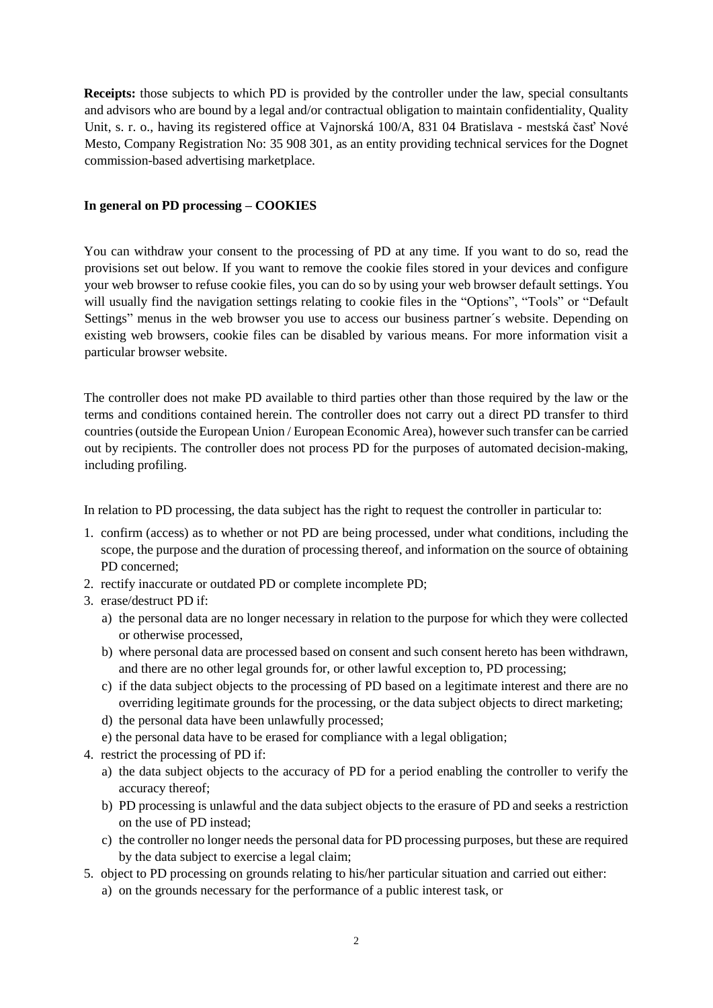**Receipts:** those subjects to which PD is provided by the controller under the law, special consultants and advisors who are bound by a legal and/or contractual obligation to maintain confidentiality, Quality Unit, s. r. o., having its registered office at Vajnorská 100/A, 831 04 Bratislava - mestská časť Nové Mesto, Company Registration No: 35 908 301, as an entity providing technical services for the Dognet commission-based advertising marketplace.

#### **In general on PD processing – COOKIES**

You can withdraw your consent to the processing of PD at any time. If you want to do so, read the provisions set out below. If you want to remove the cookie files stored in your devices and configure your web browser to refuse cookie files, you can do so by using your web browser default settings. You will usually find the navigation settings relating to cookie files in the "Options", "Tools" or "Default Settings" menus in the web browser you use to access our business partner´s website. Depending on existing web browsers, cookie files can be disabled by various means. For more information visit a particular browser website.

The controller does not make PD available to third parties other than those required by the law or the terms and conditions contained herein. The controller does not carry out a direct PD transfer to third countries (outside the European Union / European Economic Area), however such transfer can be carried out by recipients. The controller does not process PD for the purposes of automated decision-making, including profiling.

In relation to PD processing, the data subject has the right to request the controller in particular to:

- 1. confirm (access) as to whether or not PD are being processed, under what conditions, including the scope, the purpose and the duration of processing thereof, and information on the source of obtaining PD concerned;
- 2. rectify inaccurate or outdated PD or complete incomplete PD;
- 3. erase/destruct PD if:
	- a) the personal data are no longer necessary in relation to the purpose for which they were collected or otherwise processed,
	- b) where personal data are processed based on consent and such consent hereto has been withdrawn, and there are no other legal grounds for, or other lawful exception to, PD processing;
	- c) if the data subject objects to the processing of PD based on a legitimate interest and there are no overriding legitimate grounds for the processing, or the data subject objects to direct marketing;
	- d) the personal data have been unlawfully processed;
	- e) the personal data have to be erased for compliance with a legal obligation;
- 4. restrict the processing of PD if:
	- a) the data subject objects to the accuracy of PD for a period enabling the controller to verify the accuracy thereof;
	- b) PD processing is unlawful and the data subject objects to the erasure of PD and seeks a restriction on the use of PD instead;
	- c) the controller no longer needs the personal data for PD processing purposes, but these are required by the data subject to exercise a legal claim;
- 5. object to PD processing on grounds relating to his/her particular situation and carried out either:
	- a) on the grounds necessary for the performance of a public interest task, or